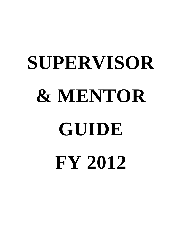# **SUPERVISOR & MENTOR GUIDE FY 2012**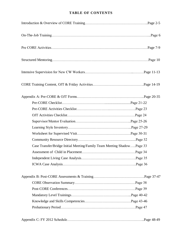# **TABLE OF CONTENTS**

| Case Transfer/Bridge Initial Meeting/Family Team Meeting ShadowPage 33 |  |
|------------------------------------------------------------------------|--|
|                                                                        |  |
|                                                                        |  |
|                                                                        |  |
|                                                                        |  |
|                                                                        |  |
|                                                                        |  |
|                                                                        |  |
|                                                                        |  |
|                                                                        |  |

|--|--|--|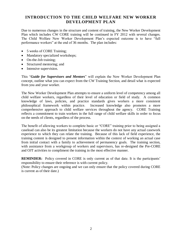# **INTRODUCTION TO THE CHILD WELFARE NEW WORKER DEVELOPMENT PLAN**

Due to numerous changes in the structure and content of training, the New Worker Development Plan which includes CW CORE training will be continued in FY 2012 with several changes. The Child Welfare New Worker Development Plan's expected outcome is to have "full performance workers" at the end of 36 months. The plan includes:

- 5 weeks of CORE Training;
- Mandatory specialized workshops;
- On-the-Job training;
- Structured mentoring; and
- Intensive supervision.

This "*Guide for Supervisors and Mentors*" will explain the New Worker Development Plan concept, outline what you can expect from the CW Training Section, and detail what is expected from you and your worker.

The New Worker Development Plan attempts to ensure a uniform level of competency among all child welfare workers, regardless of their level of education or field of study. A common knowledge of laws, policies, and practice standards gives workers a more consistent philosophical framework within practice. Increased knowledge also promotes a more comprehensive approach to child welfare services throughout the agency. CORE Training reflects a commitment to train workers in the full range of child welfare skills in order to focus on the needs of clients, regardless of the process.

The benefit of allowing workers to complete basic or "CORE" training prior to being assigned a caseload can also be its greatest limitation because the workers do not have any actual casework experience to which they can relate the training. Because of this lack of field experience, the training content is designed to present information within the context of working an actual case from initial contact with a family to achievement of permanency goals. The training section, with assistance from a workgroup of workers and supervisors, has re-designed the Pre-CORE and OJT activities to compliment the training in the most effective manner.

**REMINDER:** Policy covered in CORE is only current as of that date. It is the participants' responsibility to ensure their reference is with current policy.

(Note: Policy changes are ongoing and we can only ensure that the policy covered during CORE is current as of their date.)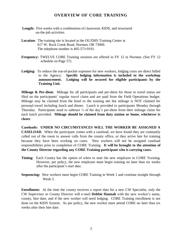# **OVERVIEW OF CORE TRAINING**

- **Length:** Five weeks with a combination of classroom, KIDS, and structured on-the-job activities.
- **Location**: The training site is located at the OU/DHS Training Center at 617 W. Rock Creek Road, Norman, OK 73069. The telephone number is 405-573-9191.
- **Frequency:** TWELVE CORE Training sessions are offered in FY 12 in Norman. (See FY 12 schedule on Page 57).
- **Lodging:** To reduce the out-of-pocket expenses for new workers, lodging costs are direct billed to the Agency. **Specific lodging information is included in the workshop announcement. Lodging will be secured for eligible participants by the Training Unit.**

**Mileage & Per-diem**: Mileage for all participants and per-diem for those in travel status are filed on the participants' regular travel claim and are paid from the Field Operations budget. Mileage may be claimed from the hotel to the training site but mileage is NOT claimed for personal travel including lunch and dinner. Lunch is provided to participants Monday through Thursday. Participants need to subtract  $\frac{1}{4}$  of the day's per-diem from their mileage claim for each lunch provided. **Mileage should be claimed from duty station or home, whichever is closer**.

**Caseloads: UNDER NO CIRCUMSTANCES WILL THE WORKER BE ASSIGNED A CASELOAD.** When the participant comes with a caseload, we have found they are constantly called out of the room to answer calls from the county office, or they arrive late for training because they have been working on cases. New workers will not be assigned caseload responsibilities prior to completion of CORE Training. **It will be brought to the attention of the County Director regarding any CORE Training participant who is carrying cases.**

- **Timing**: Each County has the option of when to start the new employee in CORE Training. However, per policy, the new employee must begin training no later than six weeks after the participant's start date.
- **Sequencing:** New workers must begin CORE Training in Week 1 and continue straight through Week 5.

**Enrollment:** At the time the county receives a report date for a new CW Specialist, only the CW Supervisor or County Director will e-mail **Debbie Hannah** with the new worker's name, county, hire date, and if the new worker will need lodging. CORE Training enrollment is not done on the KIDS System. As per policy, the new worker must attend CORE no later than six weeks after their hire date.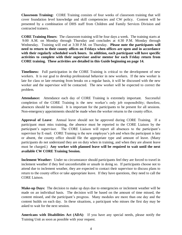**Classroom Training:** CORE Training consists of four weeks of classroom training that will cover foundation level knowledge and skill competencies and CW policy. Content will be presented by a combination of DHS staff from Children and Family Services Division and contracted trainers.

**CORE Training Hours**: The classroom training will be four days a week. The training starts at 9:00 A.M. on Monday through Thursday and concludes at 4:30 P.M. Monday through Wednesday. Training will end at 3:30 P.M. on Thursday. **Please note the participants will need to return to their county offices on Fridays when offices are open and in accordance with their regularly scheduled work hours. In addition, each participant will have specific activities to complete with their supervisor and/or mentor for each Friday return from CORE training. These activities are detailed in this Guide beginning on page 14.**

**Timeliness:** Full participation in the CORE Training is critical to the development of new workers. It is our goal to develop professional behavior in new workers. If the new worker is late for class or late returning from breaks on a regular basis, it will be discussed with the new worker and the supervisor will be contacted. The new worker will be expected to correct the problem.

**Attendance:** Attendance each day of CORE Training is extremely important. Successful completion of the CORE Training is the new worker's only job responsibility; therefore, absences should be minimal. It is important for the participants to be present for all sessions. Non-emergency appointments should be made when the worker returns to the county office.

**Approval of Leave**: Annual leave should not be approved during CORE Training. If a participant must miss training, the absence must be reported to the CORE Liaison by the participant's supervisor. The CORE Liaison will report all absences to the participant's supervisor by E-mail. CORE Training is the new employee's job and when the participant is late or absent, the county office should file the appropriate type and amount of leave. (Many participants do not understand they are on duty when in training, and when they are absent leave must be charged.) **Any worker with planned leave will be required to wait until the next available CW CORE Training Session.** 

**Inclement Weather:** Under no circumstance should participants feel they are forced to travel in inclement weather if they feel uncomfortable or unsafe in doing so. If participants choose not to attend due to inclement weather, they are expected to contact their supervisor to discuss plans to return to the county office or take appropriate leave. If they have questions, they need to call the CORE Liaison.

**Make-up Days:** The decision to make up days due to emergencies or inclement weather will be made on an individual basis. The decision will be based on the amount of time missed, the content missed, and the participant's progress. Many modules are more than one day and the content builds on each day. In these situations, a participant who misses the first day may be asked to wait for the next session.

**Americans with Disabilities Act (ADA)**: If you have any special needs, please notify the Training Unit as soon as possible with your request.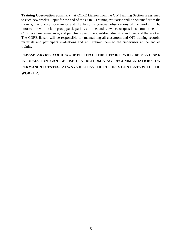**Training Observation Summary**: A CORE Liaison from the CW Training Section is assigned to each new worker. Input for the end of the CORE Training evaluation will be obtained from the trainers, the on-site coordinator and the liaison's personal observations of the worker. The information will include group participation, attitude, and relevance of questions, commitment to Child Welfare, attendance, and punctuality and the identified strengths and needs of the worker. The CORE liaison will be responsible for maintaining all classroom and OJT training records, materials and participant evaluations and will submit them to the Supervisor at the end of training.

**PLEASE ADVISE YOUR WORKER THAT THIS REPORT WILL BE SENT AND INFORMATION CAN BE USED IN DETERMINING RECOMMENDATIONS ON PERMANENT STATUS. ALWAYS DISCUSS THE REPORTS CONTENTS WITH THE WORKER.**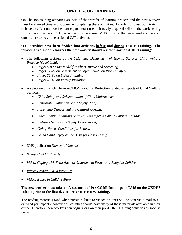# **ON-THE-JOB TRAINING**

On-The-Job training activities are part of the transfer of learning process and the new workers must be allowed time and support in completing these activities. In order for classroom training to have an effect on practice, participants must use their newly acquired skills in the work setting in the performance of OJT activities. Supervisors MUST insure that new workers have an opportunity to do all the assigned OJT activities.

#### **OJT activities have been divided into activities before and during CORE Training. The following is a list of resources the new worker should review prior to CORE Training**:

- The following sections of the *Oklahoma Department of Human Services Child Welfare Practice Model Guide*:
	- *Pages 5-8 on the Model flowchart, Intake and Screening;*
	- *Pages 17-22 on Assessment of Safety, 24-25 on Risk vs. Safety;*
	- *Pages 31-34 on Safety Planning;*
	- *Pages 45-49 on Family Visitation.*
- A selection of articles from ACTION for Child Protection related to aspects of Child Welfare Services:
	- *Child Safety and Substantiation of Child Maltreatment;*
	- *Immediate Evaluation of the Safety Plan;*
	- *Impending Danger and the Cultural Context;*
	- *When Living Conditions Seriously Endanger a Child's Physical Health;*
	- *In-Home Services as Safety Management;*
	- *Going Home: Conditions for Return;*
	- *Using Child Safety as the Basis for Case Closing.*
- DHS publication *Domestic Violence*
- *Bridges Out Of Poverty*
- *Video: Coping with Fetal Alcohol Syndrome in Foster and Adoptive Children*
- *Video: Prenatal Drug Exposure*
- *Video: Ethics in Child Welfare*

## **The new worker must take an Assessment of Pre-CORE Readings on LMS on the OKDHS Infonet prior to the first day of Pre-CORE KIDS training.**

The reading materials (and when possible, links to videos on-line) will be sent via e-mail to all enrolled participants, however all counties should have many of these materials available in their office. Therefore, new workers can begin work on their pre-CORE Training activities as soon as possible.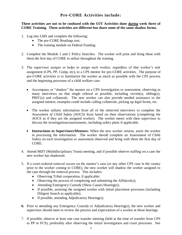# **Pre-CORE Activities include:**

**These activities are not to be confused with the OJT Activities done** *during* **week three of CORE Training. These activities are different but share some of the same shadow forms.** 

- 1. Log into LMS and complete the following:
	- The pre-CORE Readings test;
	- The training module on Federal Funding.
- 2. Complete the Module 1 and 2 Policy Searches. The worker will print and bring these with them the first day of CORE to utilize throughout the training.
- 3. The supervisor assigns or helps to assign each worker, regardless of that worker's unit assignment (CPS, PP, Comp, etc), to a CPS mentor for pre-CORE activities. The purpose of pre-CORE activities is to familiarize the worker as much as possible with the CPS process and the beginning processes of a child welfare case.
	- Accompany or "shadow" the mentor on a CPS investigation or assessment, observing as many interviews on that single referral as possible, including victim(s), sibling(s), PRFC(s) and collaterals. The new worker can also provide needed assistance to the assigned mentor; examples could include calling collaterals, picking up legal forms, etc.
	- The worker utilizes information from all of the observed interviews to complete the *Assessment of Child Safety (AOCS)* form based on their observations (completing the AOCS as if they are the assigned worker). The worker meets with their supervisor to discuss the investigations/assessments, including safety plans if applicable.
	- **Instructions to Supervisors/Mentors:** When the new worker returns, assist the worker in processing the information. The worker should complete an Assessment of Child Safety on each investigation or assessment observed and bring with them the first day of CORE.
- 4. Attend MDT (Multidisciplinary Team) meeting, and if possible observe staffing on a case the new worker has shadowed.
- 5. If a court-ordered removal occurs on the mentor's case (or any other CPS case in the county prior to the worker coming to CORE), the new worker will shadow the worker assigned to the case through the removal process. This includes:
	- Observing Tribal cooperation, if applicable;
	- Observing the process of completing and submitting the Affidavit(s);
	- Attending Emergency Custody (Show Cause) Hearing(s);
	- If possible, assisting the assigned worker with initial placement processes (including Diligent Search as applicable);
	- If possible, attending Adjudicatory Hearing(s).
- **6.** Prior to attending any Emergency Custody or Adjudicatory Hearing(s), the new worker and supervisor should meet to review the process and expectations of a worker at those hearings.
- 7. If possible, observe at least one case transfer meeting (held at the time of transfer from CPS to PP or FCS), preferably after observing the initial investigation and court processes. See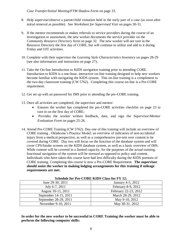*Case Transfer/Initial Meeting/FTM Shadow Form* on page 33.

- 8. Help supervise/observe a parent/child visitation held in the early part of a case (as soon after initial removal as possible). See *Worksheet for Supervised Visit* on pages 30-31.
- 9. If the mentor recommends or makes referrals to service providers during the course of an investigation or assessment, the new worker documents the service provider on the *Community Resource Directory* form on page 32. The new worker will not turn in the Resource Directory the first day of CORE, but will continue to utilize and add to it during Friday and OJT activities.
- 10. Complete with their supervisor the *Learning Style Characteristics Inventory* on pages 28-29 (see also information and instruction on page 27).
- 11. Take the On-line Introduction to KIDS navigation training prior to attending CORE. Introduction to KIDS is a one-hour, interactive on-line training designed to help new workers become familiar with navigating the KIDS system. This on-line training is a compliment to the two-day classroom training (CW 5762). Completing this course on-line is a Pre-CORE requirement.
- 12. Get set up with an password for IMS prior to attending the pre-CORE training.
- 13. Once all activities are completed, the supervisor and mentor:
	- Ensures the worker has completed the pre-CORE activities checklist on page 23 to turn in on the first day of CORE;
	- Provides the worker written feedback, date, and sign the *Supervisor/Mentor Evaluation Form* on pages 25-26.
- 14. Attend Pre-CORE Training (CW 5762). Day one of this training will include an overview of CORE training , Oklahoma's Practice Model, an overview of indicators of non-accidental injury from a medical perspective, as well as a comprehensive pre-test over content to be covered during CORE. Day two will focus on the function of the database system and will cover CPS/Intake screens on the KIDS database system, as well as a basic overview of IMS. While content will be covered in a limited capacity, for the purposes of the actual training, functional navigation of the system will be stressed as opposed to policy and content. Individuals who have taken this course have had less difficulty during the KIDS portions of CORE training. Completing this course is now a Pre-CORE Requirement. **The supervisor should assist the worker in making lodging arrangements for this training if mileage requirements are met.**

| SCIEGUIC IVI I IC-COINE IMPS CRASS IVI F I $12.$ |                      |  |  |
|--------------------------------------------------|----------------------|--|--|
| June 29-30, 2011                                 | January 4-5, 2012    |  |  |
| July 6-7, 2011                                   | February 8-9, 2012   |  |  |
| August 10-11, 2011                               | February 22-23, 2012 |  |  |
| September 14-15, 2011                            | March 28-29, 2012    |  |  |
| September 28-29, 2011                            | May 9-10, 2012       |  |  |
| November 9-10, 2011                              | May 30-31, 2012      |  |  |

**Schedule for Pre-CORE KIDS Class for FY 12:**

**In order for the new worker to be successful in CORE Training the worker must be able to perform the following computer skills:**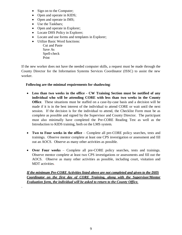- Sign on to the Computer;
- Open and operate in KIDS;
- Open and operate in IMS;
- Use the Taskbars;
- Open and operate in Explorer;
- Locate DHS Policy in Explorer;
- Locate and use forms and templates in Explorer;
- Utilize Basic Word functions:

 Cut and Paste Save As Spell-check Print

.

If the new worker does not have the needed computer skills, a request must be made through the County Director for the Information Systems Services Coordinator (ISSC) to assist the new worker.

# **Following are the minimal requirements for shadowing**:

- **Less than two weeks in the office - CW Training Section must be notified of any individual who will be attending CORE with less than two weeks in the County Office**. These situations must be staffed on a case-by-case basis and a decision will be made if it is in the best interest of the individual to attend CORE or wait until the next session. If the decision is for the individual to attend, the Checklist Form must be as complete as possible and signed by the Supervisor and County Director. The participant must also minimally have completed the Pre-CORE Reading Test as well as the Introduction to KIDS training, both on the LMS system.
- **Two to Four weeks in the office** Complete all pre-CORE policy searches, tests and trainings. Observe mentor complete at least one CPS investigation or assessment and fill out an AOCS. Observe as many other activities as possible.
- **Over Four weeks** Complete all pre-CORE policy searches, tests and trainings. Observe mentor complete at least two CPS investigations or assessments and fill out the AOCS. Observe as many other activities as possible, including court, visitation and MDT activities.

*If the minimum Pre-CORE Activities listed above are not completed and given to the DHS Coordinator on the first day of CORE Training, along with the Supervisor/Mentor Evaluation form, the individual will be asked to return to the County Office.*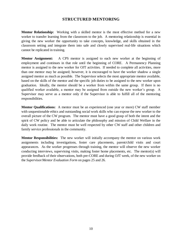# **STRUCTURED MENTORING**

**Mentor Relationship:** Working with a skilled mentor is the most effective method for a new worker to transfer learning from the classroom to the job. A mentoring relationship is essential in giving the new worker the opportunity to take concepts, knowledge, and skills obtained in the classroom setting and integrate them into safe and closely supervised real-life situations which cannot be replicated in training.

**Mentor Assignment:** A CPS mentor is assigned to each new worker at the beginning of employment and continues in that role until the beginning of CORE. A Permanency Planning mentor is assigned to the new worker for OJT activities. If needed to complete all activities, more than one mentor may be assigned; however, it is encouraged to have the worker shadow a single assigned mentor as much as possible. The Supervisor selects the most appropriate mentor available, based on the skills of the mentor and the specific job duties to be assigned to the new worker upon graduation. Ideally, the mentor should be a worker from within the same group. If there is no qualified worker available, a mentor may be assigned from outside the new worker's group. A Supervisor may serve as a mentor only if the Supervisor is able to fulfill all of the mentoring responsibilities.

**Mentor Qualifications:** A mentor must be an experienced (one year or more) CW staff member with unquestionable ethics and outstanding social work skills who can expose the new worker to the overall picture of the CW program. The mentor must have a good grasp of both the intent and the spirit of CW policy and be able to articulate the philosophy and mission of Child Welfare in the daily work routine. The mentor must be well respected by other CW staff and other children and family service professionals in the community.

**Mentor Responsibilities:** The new worker will initially accompany the mentor on various work assignments including investigations, foster care placements, parent/child visits and court appearances. As the worker progresses through training, the mentor will observe the new worker conducting interviews, supervising visits, making foster home placements, etc. The mentor(s) will provide feedback of their observations, both pre-CORE and during OJT week, of the new worker on the *Supervisor/Mentor Evaluation Form* on pages 25 and 26.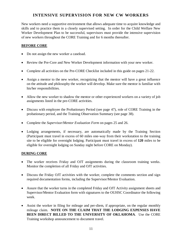# **INTENSIVE SUPERVISION FOR NEW CW WORKERS**

New workers need a supportive environment that allows adequate time to acquire knowledge and skills and to practice them in a closely supervised setting. In order for the Child Welfare New Worker Development Plan to be successful, supervisors must provide the intensive supervision of new workers throughout the CORE Training and for 6 months thereafter.

#### **BEFORE CORE**

- Do not assign the new worker a caseload.
- Review the Pre-Core and New Worker Development information with your new worker.
- Complete all activities on the Pre-CORE Checklist included in this guide on pages 21-22.
- Assign a mentor to the new worker, recognizing that the mentor will have a great influence on the attitude and philosophy the worker will develop. Make sure the mentor is familiar with his/her responsibilities.
- Allow the new worker to shadow the mentor or other experienced workers on a variety of job assignments listed in the pre-CORE activities.
- Discuss with employee the Probationary Period (see page 47), role of CORE Training in the probationary period, and the Training Observation Summary (see page 38).
- Complete the *Supervisor/Mentor Evaluation Form* on pages 25 and 26.
- Lodging arrangements, if necessary, are automatically made by the Training Section (Participant must travel in excess of 60 miles one-way from their workstation to the training site to be eligible for overnight lodging. Participant must travel in excess of **120** miles to be eligible for overnight lodging on Sunday night before CORE on Monday).

#### **DURING CORE**

- The worker receives Friday and OJT assignments during the classroom training weeks. Monitor the completion of all Friday and OJT activities.
- Discuss the Friday OJT activities with the worker, complete the comments section and sign required documentation forms, including the Supervisor/Mentor Evaluation.
- Assure that the worker turns in the completed Friday and OJT Activity assignment sheets and Supervisor/Mentor Evaluation form with signatures to the OUHSC Coordinator the following week.
- Assist the worker in filing for mileage and per-diem, if appropriate, on the regular monthly mileage claim. **NOTE ON THE CLAIM THAT THE LODGING EXPENSES HAVE BEEN DIRECT BILLED TO THE UNIVERSITY OF OKLAHOMA**.Use the CORE Training workshop announcement to document travel.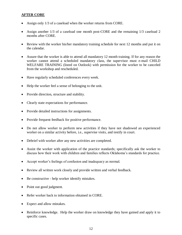# **AFTER CORE**

- Assign only 1/3 of a caseload when the worker returns from CORE.
- Assign another 1/3 of a caseload one month post-CORE and the remaining 1/3 caseload 2 months after CORE.
- Review with the worker his/her mandatory training schedule for next 12 months and put it on the calendar.
- Assure that the worker is able to attend all mandatory 12 month training. If for any reason the worker cannot attend a scheduled mandatory class, the supervisor must e-mail CHILD WELFARE TRAINING (listed on Outlook) with permission for the worker to be canceled from the workshop and rescheduled.
- Have regularly scheduled conferences every week.
- Help the worker feel a sense of belonging to the unit.
- Provide direction, structure and stability.
- Clearly state expectations for performance.
- Provide detailed instructions for assignments.
- Provide frequent feedback for positive performance.
- Do not allow worker to perform new activities if they have not shadowed an experienced worker on a similar activity before, i.e., supervise visits, and testify in court.
- Debrief with worker after any new activities are completed.
- Assist the worker with application of the practice standards; specifically ask the worker to discuss how their work with children and families reflects Oklahoma's standards for practice.
- Accept worker's feelings of confusion and inadequacy as normal.
- Review all written work closely and provide written and verbal feedback.
- Be constructive help worker identify mistakes.
- Point out good judgment.
- Refer worker back to information obtained in CORE.
- Expect and allow mistakes.
- Reinforce knowledge. Help the worker draw on knowledge they have gained and apply it to specific cases.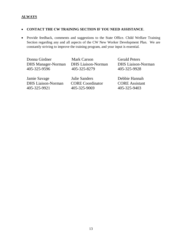# **ALWAYS**

#### **CONTACT THE CW TRAINING SECTION IF YOU NEED ASSISTANCE**.

• Provide feedback, comments and suggestions to the State Office. Child Welfare Training Section regarding any and all aspects of the CW New Worker Development Plan. We are constantly striving to improve the training program, and your input is essential.

 DHS Manager-Norman DHS Liaison-Norman DHS Liaison-Norman 405-325-9596 405-325-8279 405-325-9928

Donna Girdner Mark Carson Gerald Peters

 Jamie Savage Julie Sanders Debbie Hannah DHS Liaison-Norman CORE Coordinator CORE Assistant 405-325-9921 405-325-9069 405-325-9403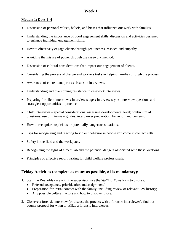# **Week 1**

# **Module 1: Days 1- 4**

- Discussion of personal values, beliefs, and biases that influence our work with families.
- Understanding the importance of good engagement skills; discussion and activities designed to enhance individual engagement skills.
- How to effectively engage clients through genuineness, respect, and empathy.
- Avoiding the misuse of power through the casework method.
- Discussion of cultural considerations that impact our engagement of clients.
- Considering the process of change and workers tasks in helping families through the process.
- Awareness of content and process issues in interviews.
- Understanding and overcoming resistance in casework interviews.
- Preparing for client interviews; interview stages; interview styles; interview questions and strategies; opportunities to practice.
- Child interviews special considerations; assessing developmental level; continuum of questions; use of interview guides; interviewer preparation, behavior, and demeanor.
- How to recognize suspicious or potentially dangerous situations.
- Tips for recognizing and reacting to violent behavior in people you come in contact with.
- Safety in the field and the workplace.
- Recognizing the signs of a meth lab and the potential dangers associated with these locations.
- Principles of effective report writing for child welfare professionals.

# **Friday Activities (complete as many as possible, #1 is mandatory):**

- **1.** Staff the Reynolds case with the supervisor, use the *Staffing Notes* form to discuss:
	- Referral acceptance, prioritization and assignment'
	- Preparation for initial contact with the family, including review of relevant CW history;
	- Any possible cultural factors and how to discover those.
- 2. Observe a forensic interview (or discuss the process with a forensic interviewer), find out county protocol for when to utilize a forensic interviewer.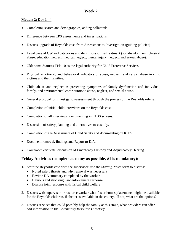# **Module 2: Day 1 - 4**

- Completing search and demographics, adding collaterals.
- Difference between CPS assessments and investigations.
- Discuss upgrade of Reynolds case from Assessment to Investigation (guiding policies)
- Legal base of CW and categories and definitions of maltreatment (for abandonment, physical abuse, education neglect, medical neglect, mental injury, neglect, and sexual abuse).
- Oklahoma Statutes Title 10 as the legal authority for Child Protective Services.
- Physical, emotional, and behavioral indicators of abuse, neglect, and sexual abuse in child victims and their families.
- Child abuse and neglect as presenting symptoms of family dysfunction and individual, family, and environmental contributors to abuse, neglect, and sexual abuse.
- General protocol for investigation/assessment through the process of the Reynolds referral.
- Completion of initial child interviews on the Reynolds case.
- Completion of all interviews, documenting in KIDS screens.
- Discussion of safety planning and alternatives to custody.
- Completion of the Assessment of Child Safety and documenting on KIDS.
- Document removal, findings and Report to D.A.
- Courtroom etiquette, discussion of Emergency Custody and Adjudicatory Hearing..

# **Friday Activities (complete as many as possible, #1 is mandatory):**

- **1.** Staff the Reynolds case with the supervisor, use the *Staffing Notes* form to discuss:
	- Noted safety threats and why removal was necessary
	- Review DA summary completed by the worker
	- Heinous and shocking, law enforcement response
	- Discuss joint response with Tribal child welfare
- 2. Discuss with supervisor or resource worker what foster homes placements might be available for the Reynolds children, if shelter is available in the county. If not, what are the options?
- 3. Discuss services that could possibly help the family at this stage, what providers can offer, add information to the *Community Resource Directory*.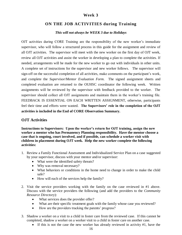# **Week 3**

# **ON THE JOB ACTIVITIES during Training**

#### *This will not always be WEEK 3 due to Holidays*

OJT activities during CORE Training are the responsibility of the new worker's immediate supervisor, who will follow a structured process in this guide for the assignment and review of all OJT activities. The supervisor will meet with the new worker on the first day of OJT week, review all OJT activities and assist the worker in developing a plan to complete the activities. If needed, arrangements will be made for the new worker to go out with individuals in other units. A complete set of instructions for the supervisor and new worker follows. The supervisor will sign-off on the successful completion of all activities, make comments on the participant's work, and complete the *Supervisor/Mentor Evaluation Form*. The signed assignment sheets and completed evaluation are returned to the OUHSC coordinator the following week. Written assignments will be reviewed by the supervisor with feedback provided to the worker. The supervisor should collect all OJT assignments and maintain them in the worker's training file. FEEDBACK IS ESSENTIAL ON EACH WRITTEN ASSIGNMENT, otherwise, participants feel their time and efforts were wasted. **The Supervisors' role in the completion of the OJT activities is included in the End of CORE Observation Summary.**

## **OJT Activities**

**Instructions to Supervisors: Upon the worker's return for OJT training, assign the new worker a mentor who has Permanency Planning responsibility. Have the mentor choose a case that is ongoing, court involved, and if possible, can schedule a worker visit with children in placement during OJT week. Help the new worker complete the following activities:**

- 1. Review a Family Functional Assessment and Individualized Service Plan on a case suggested by your supervisor, discuss with your mentor and/or supervisor:
	- What were the identified safety threats?
	- Why was removal necessary?
	- What behaviors or conditions in the home need to change in order to make the child safe?
	- How will each of the services help the family?
- 2. Visit the service providers working with the family on the case reviewed in #1 above. Discuss with the service providers the following (and add the providers to the *Community Resource Directory*):
	- What services does the provider offer?
	- What are their specific treatment goals with the family whose case you reviewed?
	- How are the providers tracking the parents' progress?
- 3. Shadow a worker on a visit to a child in foster care from the reviewed case. If this cannot be completed, shadow a worker on a worker visit to a child in foster care on another case.
	- If this is not the case the new worker has already reviewed in activity #1, have the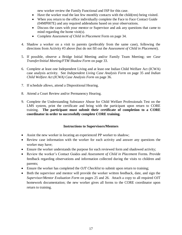new worker review the Family Functional and ISP for this case.

- Have the worker read the last few monthly contacts with the child(ren) being visited.
- When you return to the office individually complete the Face to Face Contact Guide (04MP007E) and any required addendums based on your observations.
- Discuss the cases with your mentor or Supervisor and ask any questions that came to mind regarding the home visit(s).
- Complete *Assessment of Child in Placement* Form on page 34.
- 4. Shadow a worker on a visit to parents (preferably from the same case), following the directions from Activity #3 above (but do not fill out the *Assessment of Child in Placement*).
- 5. If possible, observe a Bridge Initial Meeting and/or Family Team Meeting; see *Case Transfer/Initial Meeting/FTM Shadow Form* on page 33.
- 6. Complete at least one Independent Living and at least one Indian Child Welfare Act (ICWA) case analysis activity. See *Independent Living Case Analysis Form* on page 35 and *Indian Child Welfare Act (ICWA) Case Analysis Form* on page 36.
- 7. If schedule allows, attend a Dispositional Hearing.
- 8. Attend a Court Review and/or Permanency Hearing.
- 9. Complete the Understanding Substance Abuse for Child Welfare Professionals Test on the LMS system, print the certificate and bring with the participant upon return to CORE training. **The participant must submit their certificate of completion to a CORE coordinator in order to successfully complete CORE training.**

# **Instructions to Supervisors/Mentors**

- Assist the new worker in locating an experienced PP worker to shadow;
- Review case information with the worker for each activity and answer any questions the worker may have;
- Ensure the worker understands the purpose for each reviewed form and shadowed activity;
- Review the worker's Contact Guides and *Assessment of Child in Placement* Forms. Provide feedback regarding observations and information collected during the visits to children and parents;
- Ensure the worker has completed the *OJT Checklist* to submit upon return to training;
- Both the supervisor and mentor will provide the worker written feedback, date, and sign the *Supervisor/Mentor Evaluation Form* on pages 25 and 26. Attach a copy to all required OJT homework documentation; the new worker gives all forms to the CORE coordinator upon return to training.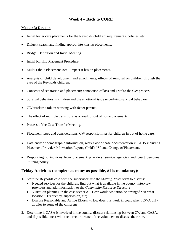# **Week 4 – Back to CORE**

# **Module 3: Day 1 -4**

- Initial foster care placements for the Reynolds children: requirements, policies, etc.
- Diligent search and finding appropriate kinship placements.
- Bridge: Definition and Initial Meeting.
- Initial Kinship Placement Procedure.
- Multi-Ethnic Placement Act—impact it has on placements.
- Analysis of child development and attachments, effects of removal on children through the eyes of the Reynolds children.
- Concepts of separation and placement; connection of loss and grief to the CW process.
- Survival behaviors in children and the emotional issue underlying survival behaviors.
- CW worker's role in working with foster parents.
- The effect of multiple transitions as a result of out of home placements.
- Process of the Case Transfer Meeting.
- Placement types and considerations, CW responsibilities for children in out of home care.
- Data entry of demographic information, work flow of case documentation in KIDS including Placement Provider Information Report, Child's ISP and Change of Placement.
- Responding to inquiries from placement providers, service agencies and court personnel utilizing policy.

# **Friday Activities (complete as many as possible, #1 is mandatory):**

- **1.** Staff the Reynolds case with the supervisor, use the *Staffing Notes* form to discuss:
	- Needed services for the children, find out what is available in the county, interview providers and add information to the *Community Resource Directory*;
	- Visitation planning in the case scenario How would visitation be arranged? At what location? Frequency, supervision, etc;
	- Discuss Reasonable and Active Efforts How does this work in court when ICWA only applies to some of the children?
- 2. Determine if CASA is involved in the county, discuss relationship between CW and CASA, and if possible, meet with the director or one of the volunteers to discuss their role.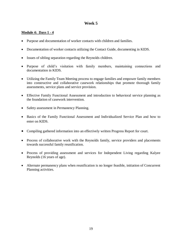# **Week 5**

# **Module 4: Days 1 - 4**

- Purpose and documentation of worker contacts with children and families.
- Documentation of worker contacts utilizing the Contact Guide, documenting in KIDS.
- Issues of sibling separation regarding the Reynolds children.
- Purpose of child's visitation with family members, maintaining connections and documentation in KIDS.
- Utilizing the Family Team Meeting process to engage families and empower family members into constructive and collaborative casework relationships that promote thorough family assessments, service plans and service provision.
- Effective Family Functional Assessment and introduction to behavioral service planning as the foundation of casework intervention.
- Safety assessment in Permanency Planning.
- Basics of the Family Functional Assessment and Individualized Service Plan and how to enter on KIDS.
- Compiling gathered information into an effectively written Progress Report for court.
- Process of collaborative work with the Reynolds family, service providers and placements towards successful family reunification.
- Process of providing assessment and services for Independent Living regarding Kalyee Reynolds (16 years of age).
- Alternate permanency plans when reunification is no longer feasible, initiation of Concurrent Planning activities.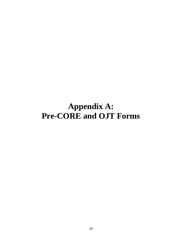# **Appendix A: Pre-CORE and OJT Forms**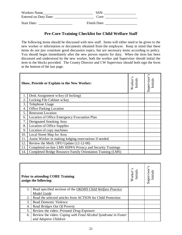| Workers Name          | <b>SSN</b>   |
|-----------------------|--------------|
| Entered on Duty Date: | Core:        |
| <b>Start Date:</b>    | Finish Date: |

# **Pre-Core Training Checklist for Child Welfare Staff**

The following items should be discussed with new staff. Items will either need to be given to the new worker or information or documents obtained from the employee. Keep in mind that these items do not just constitute good discussion topics, but are necessary items according to policy. You should begin immediately after the new person reports for duty. When the item has been discussed and understood by the new worker, both the worker and Supervisor should initial the item in the blocks provided. The County Director and CW Supervisor should both sign the form at the bottom of the last page.

| Show, Provide or Explain to the New Worker: |                                                             | s<br>Worker'<br>nitial | S<br>Supervisor<br>Initials |
|---------------------------------------------|-------------------------------------------------------------|------------------------|-----------------------------|
|                                             | Desk Assignment w/key (if locking)                          |                        |                             |
| 2.                                          | Locking File Cabinet w/key                                  |                        |                             |
| 3.                                          | Telephone Usage                                             |                        |                             |
| 4.                                          | <b>Office Parking Location</b>                              |                        |                             |
| 5.                                          | <b>Restroom Location</b>                                    |                        |                             |
| 6.                                          | Location of Office Emergency Evacuation Plan                |                        |                             |
| 7.                                          | Designated Smoking Area                                     |                        |                             |
| 8.                                          | <b>Location of Office Supplies</b>                          |                        |                             |
| 9.                                          | Location of copy machines                                   |                        |                             |
| 10.                                         | Local Street Map for Area                                   |                        |                             |
| -11.                                        | Assist Worker in making lodging reservations if needed      |                        |                             |
| 12.                                         | Review the Meth. OFO Update (12-12-00)                      |                        |                             |
| 13.                                         | Completed on-line LMS HIPPA Privacy and Security Trainings  |                        |                             |
| $\vert$ 14.                                 | Completed Bridge Resource Family Orientation Training (LMS) |                        |                             |

|    | <b>Prior to attending CORE Training</b><br>assign the following: | s<br>Initial<br>Worker | ∽<br>Supervisor'<br>Initials |
|----|------------------------------------------------------------------|------------------------|------------------------------|
| 1. | Read specified sections of the OKDHS Child Welfare Practice      |                        |                              |
|    | Model Guide                                                      |                        |                              |
| 2. | Read the selected articles from ACTION for Child Protection      |                        |                              |
| 3. | Read Domestic Violence                                           |                        |                              |
| 4. | Read Bridges Out Of Poverty                                      |                        |                              |
| 5. | Review the video: Prenatal Drug Exposure                         |                        |                              |
| 6. | Review the video: Coping with Fetal Alcohol Syndrome in Foster   |                        |                              |
|    | and Adoptive Children                                            |                        |                              |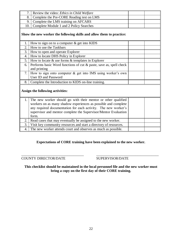| 7.               | Review the video: Ethics in Child Welfare                                                                                                                                                                                                                                     |  |
|------------------|-------------------------------------------------------------------------------------------------------------------------------------------------------------------------------------------------------------------------------------------------------------------------------|--|
| 8.               | Complete the Pre-CORE Reading test on LMS                                                                                                                                                                                                                                     |  |
| 9.               | Complete the LMS training on AFCARS                                                                                                                                                                                                                                           |  |
| 10.              | Complete Module 1 and 2 Policy Searches                                                                                                                                                                                                                                       |  |
|                  | Show the new worker the following skills and allow them to practice:                                                                                                                                                                                                          |  |
| 1.               | How to sign on to a computer $\&$ get into KIDS                                                                                                                                                                                                                               |  |
| 2.               | How to use the Taskbars                                                                                                                                                                                                                                                       |  |
| 3.               | How to open and operate Explorer                                                                                                                                                                                                                                              |  |
| 4.               | How to locate DHS Policy in Explorer                                                                                                                                                                                                                                          |  |
| 5.               | How to locate $\&$ use forms $\&$ templates in Explorer                                                                                                                                                                                                                       |  |
| 6.               | Performs basic Word functions of cut & paste, save as, spell check<br>and printing                                                                                                                                                                                            |  |
| 7.               | How to sign onto computer $\&$ get into IMS using worker's own<br>User ID and Password                                                                                                                                                                                        |  |
| 8.               | Complete the Introduction to KIDS on-line training.                                                                                                                                                                                                                           |  |
|                  | Assign the following activities:                                                                                                                                                                                                                                              |  |
| 1.               | The new worker should go with their mentor or other qualified<br>workers on as many shadow experiences as possible and complete<br>any required documentation for each activity. The new worker's<br>supervisor and mentor complete the Supervisor/Mentor Evaluation<br>form. |  |
| 2.               | Read cases that may eventually be assigned to the new worker.                                                                                                                                                                                                                 |  |
| 3.               | Visit key community resources and start a directory of resources.                                                                                                                                                                                                             |  |
| $\overline{4}$ . | The new worker attends court and observes as much as possible.                                                                                                                                                                                                                |  |

# **Expectations of CORE training have been explained to the new worker.**

\_\_\_\_\_\_\_\_\_\_\_\_\_\_\_\_\_\_\_\_\_\_\_\_\_\_\_\_\_\_\_\_\_\_\_ \_\_\_\_\_\_\_\_\_\_\_\_\_\_\_\_\_\_\_\_\_\_\_\_\_\_\_\_\_\_\_\_\_\_\_ COUNTY DIRECTOR/DATE SUPERVISOR/DATE

**This checklist should be maintained in the local personnel file and the new worker must bring a copy on the first day of their CORE training.**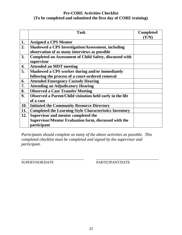# **Pre-CORE Activities Checklist (To be completed and submitted the first day of CORE training)**

|            | <b>Task</b>                                                                  | <b>Completed</b><br>(Y/N) |
|------------|------------------------------------------------------------------------------|---------------------------|
| 1.         | <b>Assigned a CPS Mentor</b>                                                 |                           |
| 2.         | <b>Shadowed a CPS Investigation/Assessment, including</b>                    |                           |
|            | observation of as many interviews as possible                                |                           |
| 3.         | <b>Completed an Assessment of Child Safety, discussed with</b><br>supervisor |                           |
| 4.         | <b>Attended an MDT meeting</b>                                               |                           |
| 5.         | Shadowed a CPS worker during and/or immediately                              |                           |
|            | following the process of a court-ordered removal                             |                           |
| 6.         | <b>Attended Emergency Custody Hearing</b>                                    |                           |
| 7.         | <b>Attending an Adjudicatory Hearing</b>                                     |                           |
| 8.         | <b>Observed a Case Transfer Meeting</b>                                      |                           |
| 9.         | Observed a Parent/Child visitation held early in the life                    |                           |
|            | of a case                                                                    |                           |
| <b>10.</b> | <b>Initiated the Community Resource Directory</b>                            |                           |
| 11.        | <b>Completed the Learning Style Characteristics Inventory</b>                |                           |
| 12.        | Supervisor and mentor completed the                                          |                           |
|            | Supervisor/Mentor Evaluation form, discussed with the                        |                           |
|            | participant                                                                  |                           |

*Participants should complete as many of the above activities as possible. This completed checklist must be completed and signed by the supervisor and participant.*

\_\_\_\_\_\_\_\_\_\_\_\_\_\_\_\_\_\_\_\_\_\_\_\_\_\_\_\_\_\_\_\_\_\_\_ \_\_\_\_\_\_\_\_\_\_\_\_\_\_\_\_\_\_\_\_\_\_\_\_\_\_\_\_\_\_\_\_\_\_\_ SUPERVISOR/DATE PARTICIPANT/DATE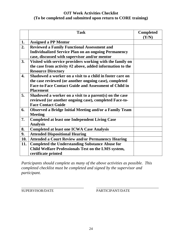# **OJT Week Activities Checklist (To be completed and submitted upon return to CORE training)**

|                  | <b>Task</b>                                                   | <b>Completed</b><br>(Y/N) |
|------------------|---------------------------------------------------------------|---------------------------|
| 1.               | <b>Assigned a PP Mentor</b>                                   |                           |
| 2.               | <b>Reviewed a Family Functional Assessment and</b>            |                           |
|                  | <b>Individualized Service Plan on an ongoing Permanency</b>   |                           |
|                  | case, discussed with supervisor and/or mentor                 |                           |
| 3.               | Visited with service providers working with the family on     |                           |
|                  | the case from activity #2 above, added information to the     |                           |
|                  | <b>Resource Directory</b>                                     |                           |
| $\overline{4}$ . | Shadowed a worker on a visit to a child in foster care on     |                           |
|                  | the case reviewed (or another ongoing case), completed        |                           |
|                  | <b>Face-to-Face Contact Guide and Assessment of Child in</b>  |                           |
|                  | <b>Placement</b>                                              |                           |
| 5.               | Shadowed a worker on a visit to a parent(s) on the case       |                           |
|                  | reviewed (or another ongoing case), completed Face-to-        |                           |
|                  | <b>Face Contact Guide</b>                                     |                           |
| 6.               | <b>Observed a Bridge Initial Meeting and/or a Family Team</b> |                           |
|                  | <b>Meeting</b>                                                |                           |
| 7.               | <b>Completed at least one Independent Living Case</b>         |                           |
|                  | <b>Analysis</b>                                               |                           |
| 8.               | <b>Completed at least one ICWA Case Analysis</b>              |                           |
| 9.               | <b>Attended Dispositional Hearing</b>                         |                           |
| 10.              | <b>Attended a Court Review and/or Permanency Hearing</b>      |                           |
| 11.              | <b>Completed the Understanding Substance Abuse for</b>        |                           |
|                  | Child Welfare Professionals Test on the LMS system,           |                           |
|                  | certificate printed                                           |                           |

*Participants should complete as many of the above activities as possible. This completed checklist must be completed and signed by the supervisor and participant.*

\_\_\_\_\_\_\_\_\_\_\_\_\_\_\_\_\_\_\_\_\_\_\_\_\_\_\_\_\_\_\_\_\_\_\_ \_\_\_\_\_\_\_\_\_\_\_\_\_\_\_\_\_\_\_\_\_\_\_\_\_\_\_\_\_\_\_\_\_\_\_ SUPERVISOR/DATE PARTICIPANT/DATE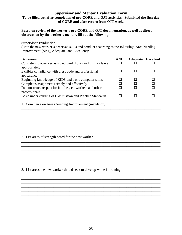### **Supervisor and Mentor Evaluation Form To be filled out after completion of pre-CORE and OJT activities. Submitted the first day of CORE and after return from OJT week.**

#### **Based on review of the worker's pre-CORE and OJT documentation, as well as direct observation by the worker's mentor, fill out the following:**

#### **Supervisor Evaluation**

(Rate the new worker's observed skills and conduct according to the following: Area Needing Improvement (ANI), Adequate, and Excellent):

| <b>Behaviors</b>                                                                                                                                                               | <b>ANI</b> | <b>Adequate Excellent</b> |  |
|--------------------------------------------------------------------------------------------------------------------------------------------------------------------------------|------------|---------------------------|--|
| Consistently observes assigned work hours and utilizes leave<br>appropriately                                                                                                  |            |                           |  |
| Exhibits compliance with dress code and professional                                                                                                                           |            |                           |  |
| appearance<br>Beginning knowledge of KIDS and basic computer skills<br>Completes assignments timely and effectively<br>Demonstrates respect for families, co-workers and other |            |                           |  |
| professionals<br>Basic understanding of CW mission and Practice Standards                                                                                                      |            |                           |  |

\_\_\_\_\_\_\_\_\_\_\_\_\_\_\_\_\_\_\_\_\_\_\_\_\_\_\_\_\_\_\_\_\_\_\_\_\_\_\_\_\_\_\_\_\_\_\_\_\_\_\_\_\_\_\_\_\_\_\_\_\_\_\_\_\_\_\_\_\_\_\_\_\_\_\_\_\_\_

\_\_\_\_\_\_\_\_\_\_\_\_\_\_\_\_\_\_\_\_\_\_\_\_\_\_\_\_\_\_\_\_\_\_\_\_\_\_\_\_\_\_\_\_\_\_\_\_\_\_\_\_\_\_\_\_\_\_\_\_\_\_\_\_\_\_\_\_\_\_\_\_\_\_\_\_\_\_ \_\_\_\_\_\_\_\_\_\_\_\_\_\_\_\_\_\_\_\_\_\_\_\_\_\_\_\_\_\_\_\_\_\_\_\_\_\_\_\_\_\_\_\_\_\_\_\_\_\_\_\_\_\_\_\_\_\_\_\_\_\_\_\_\_\_\_\_\_\_\_\_\_\_\_\_\_\_

\_\_\_\_\_\_\_\_\_\_\_\_\_\_\_\_\_\_\_\_\_\_\_\_\_\_\_\_\_\_\_\_\_\_\_\_\_\_\_\_\_\_\_\_\_\_\_\_\_\_\_\_\_\_\_\_\_\_\_\_\_\_\_\_\_\_\_\_\_\_\_\_\_\_\_\_\_\_

\_\_\_\_\_\_\_\_\_\_\_\_\_\_\_\_\_\_\_\_\_\_\_\_\_\_\_\_\_\_\_\_\_\_\_\_\_\_\_\_\_\_\_\_\_\_\_\_\_\_\_\_\_\_\_\_\_\_\_\_\_\_\_\_\_\_\_\_\_\_\_\_\_\_\_\_\_\_

\_\_\_\_\_\_\_\_\_\_\_\_\_\_\_\_\_\_\_\_\_\_\_\_\_\_\_\_\_\_\_\_\_\_\_\_\_\_\_\_\_\_\_\_\_\_\_\_\_\_\_\_\_\_\_\_\_\_\_\_\_\_\_\_\_\_\_\_\_\_\_\_\_\_\_\_\_\_

\_\_\_\_\_\_\_\_\_\_\_\_\_\_\_\_\_\_\_\_\_\_\_\_\_\_\_\_\_\_\_\_\_\_\_\_\_\_\_\_\_\_\_\_\_\_\_\_\_\_\_\_\_\_\_\_\_\_\_\_\_\_\_\_\_\_\_\_\_\_\_\_\_\_\_\_\_\_

\_\_\_\_\_\_\_\_\_\_\_\_\_\_\_\_\_\_\_\_\_\_\_\_\_\_\_\_\_\_\_\_\_\_\_\_\_\_\_\_\_\_\_\_\_\_\_\_\_\_\_\_\_\_\_\_\_\_\_\_\_\_\_\_\_\_\_\_\_\_\_\_\_\_\_\_\_\_ \_\_\_\_\_\_\_\_\_\_\_\_\_\_\_\_\_\_\_\_\_\_\_\_\_\_\_\_\_\_\_\_\_\_\_\_\_\_\_\_\_\_\_\_\_\_\_\_\_\_\_\_\_\_\_\_\_\_\_\_\_\_\_\_\_\_\_\_\_\_\_\_\_\_\_\_\_\_ \_\_\_\_\_\_\_\_\_\_\_\_\_\_\_\_\_\_\_\_\_\_\_\_\_\_\_\_\_\_\_\_\_\_\_\_\_\_\_\_\_\_\_\_\_\_\_\_\_\_\_\_\_\_\_\_\_\_\_\_\_\_\_\_\_\_\_\_\_\_\_\_\_\_\_\_\_\_ \_\_\_\_\_\_\_\_\_\_\_\_\_\_\_\_\_\_\_\_\_\_\_\_\_\_\_\_\_\_\_\_\_\_\_\_\_\_\_\_\_\_\_\_\_\_\_\_\_\_\_\_\_\_\_\_\_\_\_\_\_\_\_\_\_\_\_\_\_\_\_\_\_\_\_\_\_\_

 $\mathcal{L}_\text{max}$  , and the set of the set of the set of the set of the set of the set of the set of the set of the set of the set of the set of the set of the set of the set of the set of the set of the set of the set of the \_\_\_\_\_\_\_\_\_\_\_\_\_\_\_\_\_\_\_\_\_\_\_\_\_\_\_\_\_\_\_\_\_\_\_\_\_\_\_\_\_\_\_\_\_\_\_\_\_\_\_\_\_\_\_\_\_\_\_\_\_\_\_\_\_\_\_\_\_\_\_\_\_\_\_\_\_\_

\_\_\_\_\_\_\_\_\_\_\_\_\_\_\_\_\_\_\_\_\_\_\_\_\_\_\_\_\_\_\_\_\_\_\_\_\_\_\_\_\_\_\_\_\_\_\_\_\_\_\_\_\_\_\_\_\_\_\_\_\_\_\_\_\_\_\_\_\_\_\_\_\_\_\_\_\_\_

 $\mathcal{L}_\mathcal{L} = \{ \mathcal{L}_\mathcal{L} = \{ \mathcal{L}_\mathcal{L} = \{ \mathcal{L}_\mathcal{L} = \{ \mathcal{L}_\mathcal{L} = \{ \mathcal{L}_\mathcal{L} = \{ \mathcal{L}_\mathcal{L} = \{ \mathcal{L}_\mathcal{L} = \{ \mathcal{L}_\mathcal{L} = \{ \mathcal{L}_\mathcal{L} = \{ \mathcal{L}_\mathcal{L} = \{ \mathcal{L}_\mathcal{L} = \{ \mathcal{L}_\mathcal{L} = \{ \mathcal{L}_\mathcal{L} = \{ \mathcal{L}_\mathcal{$ 

1. Comments on Areas Needing Improvement (mandatory).

2. List areas of strength noted for the new worker.

3. List areas the new worker should seek to develop while in training.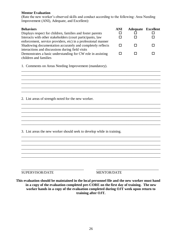#### **Mentor Evaluation**

(Rate the new worker's observed skills and conduct according to the following: Area Needing Improvement (ANI), Adequate, and Excellent):

| <b>Behaviors</b><br>Displays respect for children, families and foster parents<br>Interacts with other stakeholders (court participants, law<br>enforcement, service providers, etc) in a professional manner |   | <b>Adequate Excellent</b><br>П<br>П | П  |
|---------------------------------------------------------------------------------------------------------------------------------------------------------------------------------------------------------------|---|-------------------------------------|----|
| Shadowing documentation accurately and completely reflects<br>interactions and discussions during field visits                                                                                                | п | П                                   | П  |
| Demonstrates a basic understanding for CW role in assisting<br>children and families                                                                                                                          | П | П                                   | LΙ |
| 1. Comments on Areas Needing Improvement (mandatory).                                                                                                                                                         |   |                                     |    |
|                                                                                                                                                                                                               |   |                                     |    |
|                                                                                                                                                                                                               |   |                                     |    |
|                                                                                                                                                                                                               |   |                                     |    |
| 2. List areas of strength noted for the new worker.                                                                                                                                                           |   |                                     |    |
|                                                                                                                                                                                                               |   |                                     |    |
|                                                                                                                                                                                                               |   |                                     |    |
|                                                                                                                                                                                                               |   |                                     |    |
|                                                                                                                                                                                                               |   |                                     |    |
| 3. List areas the new worker should seek to develop while in training.                                                                                                                                        |   |                                     |    |
|                                                                                                                                                                                                               |   |                                     |    |
|                                                                                                                                                                                                               |   |                                     |    |
|                                                                                                                                                                                                               |   |                                     |    |
|                                                                                                                                                                                                               |   |                                     |    |
|                                                                                                                                                                                                               |   |                                     |    |
| SUPERVISOR/DATE<br><b>MENTOR/DATE</b>                                                                                                                                                                         |   |                                     |    |

**This evaluation should be maintained in the local personnel file and the new worker must hand in a copy of the evaluation completed pre-CORE on the first day of training. The new worker hands in a copy of the evaluation completed during OJT week upon return to training after OJT.**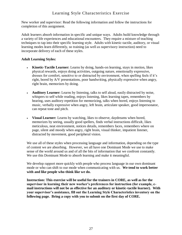# Learning Style Characteristics Exercise

New worker and supervisor: Read the following information and follow the instructions for completion of this assignment.

Adult learners absorb information in specific and unique ways. Adults build knowledge through a variety of life experiences and educational encounters. They require a mixture of teaching techniques to tap into their specific learning style. Adults with kinetic-tactile, auditory, or visual learning modes learn differently, so training (as well as supervisory instruction) need to incorporate delivery of each of these styles.

## **Adult Learning Styles:**

- **Kinetic-Tactile Learner:** Learns by doing, hands-on learning, stays in motion, likes physical rewards, enjoys doing activities, outgoing nature, emotionally expressive, dresses for comfort, sensitive to or distracted by environment, when spelling feels if it's right, bored by A/V presentations, poor handwriting, physically expressive when angry, right brain, memorizes by doing.
- **Auditory Learner:** Learns by listening, talks to self aloud, easily distracted by noise, whispers to self while reading, enjoys listening, likes learning tapes, remembers by hearing, uses auditory repetition for memorizing, talks when bored, enjoys listening to music, verbally expressive when angry, left brain, articulate speaker, good impersonator, can repeat tone and pitch.
- **Visual Learner:** Learns by watching, likes to observe, daydreams when bored, memorizes by seeing, usually good spellers, finds verbal instructions difficult, likes meticulous, neat environment, notices details, remembers faces, remembers where on page, silent and moody when angry, right brain, visual thinker, impatient listener, distracted by movement, good peripheral vision.

We use all of these styles when processing language and information, depending on the type of content we are absorbing. However, we all have one Dominant Mode we use to make sense of the world around us and of all the bits of information that we confront constantly. We use this Dominant Mode to absorb learning and make it meaningful.

We develop rapport more quickly with people who process language in our own dominant mode or who can shift to our mode when communicating with us. **We tend to work better with and like people who think like we do.**

**Instruction: This exercise will be useful for the trainers in CORE, as well as for the supervisor in learning their new worker's preferences for instruction (for example, email instructions will not be as effective for an auditory or kinetic-tactile learner). With your supervisor's assistance, fill out the Learning Style Characteristics inventory on the following page. Bring a copy with you to submit on the first day of CORE.**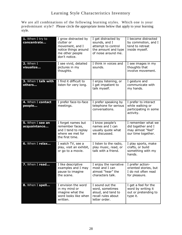# Learning Style Characteristics Inventory

We are all combinations of the following learning styles. Which one is your predominant style? Please circle the appropriate items below that apply to your learning style.

| 1. When I try to<br>concentrate  | I grow distracted by<br>clutter or<br>movement, and I<br>notice things around<br>me other people<br>don't notice. | I get distracted by<br>sounds, and I<br>attempt to control<br>the amount and type<br>of noise around me. | I become distracted<br>by commotion, and I<br>tend to retreat<br>inside myself.     |
|----------------------------------|-------------------------------------------------------------------------------------------------------------------|----------------------------------------------------------------------------------------------------------|-------------------------------------------------------------------------------------|
| 2. When I<br>visualize           | I see vivid, detailed<br>pictures in my<br>thoughts.                                                              | I think in voices and<br>sounds.                                                                         | I see images in my<br>thoughts that<br>involve movement.                            |
| 3. When I talk with<br>others    | I find it difficult to<br>listen for very long.                                                                   | I enjoy listening, or<br>I get impatient to<br>talk myself.                                              | I gesture and<br>communicate with<br>my hands.                                      |
| 4. When I contact<br>people      | I prefer face-to-face<br>meetings.                                                                                | I prefer speaking by<br>telephone for serious<br>conversations.                                          | I prefer to interact<br>while walking or<br>participating in some<br>activity.      |
| 5. When I see an<br>acquaintance | I forget names but<br>remember faces,<br>and I tend to replay<br>where we met for<br>the first time.              | I know people's<br>names and I can<br>usually quote what<br>we discussed.                                | I remember what we<br>did together and I<br>may almost "feel"<br>our time together. |
| 6. When I relax                  | I watch TV, see a<br>play, visit an exhibit,<br>or go to a movie.                                                 | I listen to the radio,<br>play music, read, or<br>talk with a friend.                                    | I play sports, make<br>crafts, or build<br>something with my<br>hands.              |
| 7. When I read                   | I like descriptive<br>examples and I may<br>pause to imagine<br>the scene.                                        | I enjoy the narrative<br>most and I can<br>almost "hear" the<br>characters talk.                         | I prefer action-<br>oriented stories, but<br>I do not often read<br>for pleasure.   |
| 8. When I spell                  | I envision the word<br>in my mind or<br>imagine what the<br>word looks like when<br>written.                      | I sound out the<br>word, sometimes<br>aloud, and tend to<br>recall rules about<br>letter order.          | I get a feel for the<br>word by writing it<br>out or pretending to<br>type it.      |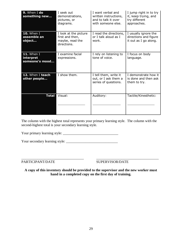| 9. When I do<br>something new              | I seek out<br>demonstrations,<br>pictures, or<br>diagrams.                 | I want verbal and<br>written instructions,<br>and to talk it over<br>with someone else. | I jump right in to try<br>it, keep trying, and<br>try different<br>approaches. |
|--------------------------------------------|----------------------------------------------------------------------------|-----------------------------------------------------------------------------------------|--------------------------------------------------------------------------------|
| <b>10.</b> When I<br>assemble an<br>object | I look at the picture<br>first and then,<br>maybe, read the<br>directions. | I read the directions,<br>or I talk aloud as I<br>work.                                 | I usually ignore the<br>directions and figure<br>it out as I go along.         |
| 11. When I<br>interpret<br>someone's mood  | I examine facial<br>expressions.                                           | I rely on listening to<br>tone of voice.                                                | I focus on body<br>language.                                                   |
| 12. When I teach<br>other people           | I show them.                                                               | I tell them, write it<br>out, or I ask them a<br>series of questions.                   | I demonstrate how it<br>is done and then ask<br>them to try.                   |
| <b>Total</b>                               | Visual:                                                                    | Auditory:                                                                               | Tactile/Kinesthetic:                                                           |

The column with the highest total represents your primary learning style. The column with the second-highest total is your secondary learning style.

Your primary learning style: \_\_\_\_\_\_\_\_\_\_\_\_\_\_\_\_\_\_\_\_\_\_\_\_\_\_\_\_\_\_\_

Your secondary learning style: \_\_\_\_\_\_\_\_\_\_\_\_\_\_\_\_\_\_\_\_\_\_\_\_\_\_\_\_\_

PARTICIPANT/DATE SUPERVISOR/DATE

**A copy of this inventory should be provided to the supervisor and the new worker must hand in a completed copy on the first day of training.** 

\_\_\_\_\_\_\_\_\_\_\_\_\_\_\_\_\_\_\_\_\_\_\_\_\_\_\_\_\_\_\_\_\_\_\_ \_\_\_\_\_\_\_\_\_\_\_\_\_\_\_\_\_\_\_\_\_\_\_\_\_\_\_\_\_\_\_\_\_\_\_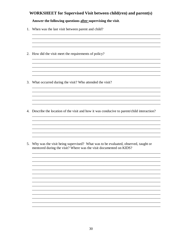# **WORKSHEET** for Supervised Visit between child(ren) and parent(s)

### Answer the following questions after supervising the visit.

- 1. When was the last visit between parent and child?
- 2. How did the visit meet the requirements of policy?

3. What occurred during the visit? Who attended the visit?

4. Describe the location of the visit and how it was conducive to parent/child interaction?

<u> 1989 - Johann Stoff, deutscher Stoff, der Stoff, der Stoff, der Stoff, der Stoff, der Stoff, der Stoff, der S</u>

and the control of the control of the control of the control of the control of the control of the control of the

5. Why was the visit being supervised? What was to be evaluated, observed, taught or mentored during the visit? Where was the visit documented on KIDS?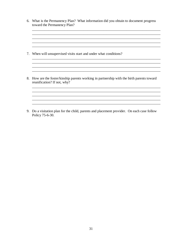6. What is the Permanency Plan? What information did you obtain to document progress toward the Permanency Plan?

<u> 1989 - Johann Stoff, deutscher Stoff, der Stoff, deutscher Stoff, der Stoff, der Stoff, der Stoff, der Stoff, </u> 

<u> 1989 - Johann Stoff, deutscher Stoffen und der Stoffen und der Stoffen und der Stoffen und der Stoffen und de</u> <u> 1989 - Johann Stoff, deutscher Stoff, der Stoff, deutscher Stoff, der Stoff, der Stoff, der Stoff, der Stoff, </u>

<u> 1989 - Johann Barn, fransk politik (f. 1989)</u> <u> 1989 - Johann Stoff, deutscher Stoff, der Stoff, der Stoff, der Stoff, der Stoff, der Stoff, der Stoff, der S</u>

- 7. When will unsupervised visits start and under what conditions?
- 8. How are the foster/kinship parents working in partnership with the birth parents toward reunification? If not, why?

9. Do a visitation plan for the child, parents and placement provider. On each case follow Policy 75-6-30.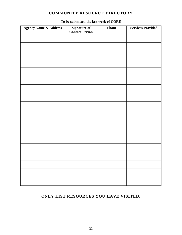# **COMMUNITY RESOURCE DIRECTORY**

| <b>Agency Name &amp; Address</b> | <b>Signature</b> of<br><b>Contact Person</b> | Phone | <b>Services Provided</b> |
|----------------------------------|----------------------------------------------|-------|--------------------------|
|                                  |                                              |       |                          |
|                                  |                                              |       |                          |
|                                  |                                              |       |                          |
|                                  |                                              |       |                          |
|                                  |                                              |       |                          |
|                                  |                                              |       |                          |
|                                  |                                              |       |                          |
|                                  |                                              |       |                          |
|                                  |                                              |       |                          |
|                                  |                                              |       |                          |
|                                  |                                              |       |                          |
|                                  |                                              |       |                          |
|                                  |                                              |       |                          |
|                                  |                                              |       |                          |
|                                  |                                              |       |                          |
|                                  |                                              |       |                          |
|                                  |                                              |       |                          |
|                                  |                                              |       |                          |

# **To be submitted the last week of CORE**

# **ONLY LIST RESOURCES YOU HAVE VISITED.**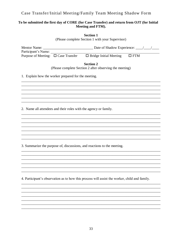# Case Transfer/Initial Meeting/Family Team Meeting Shadow Form

# To be submitted the first day of CORE (for Case Transfer) and return from OJT (for Initial Meeting and FTM).

**Section 1** 

(Please complete Section 1 with your Supervisor)

| Participant's Name:                                                     |                                                                                               |  |
|-------------------------------------------------------------------------|-----------------------------------------------------------------------------------------------|--|
| Purpose of Meeting: $\Box$ Case Transfer $\Box$ Bridge Initial Meeting  | $\Box$ FTM                                                                                    |  |
|                                                                         | <b>Section 2</b><br>(Please complete Section 2 after observing the meeting)                   |  |
| 1. Explain how the worker prepared for the meeting.                     |                                                                                               |  |
|                                                                         |                                                                                               |  |
|                                                                         |                                                                                               |  |
|                                                                         |                                                                                               |  |
|                                                                         |                                                                                               |  |
| 2. Name all attendees and their roles with the agency or family.        |                                                                                               |  |
|                                                                         |                                                                                               |  |
|                                                                         |                                                                                               |  |
|                                                                         |                                                                                               |  |
|                                                                         |                                                                                               |  |
|                                                                         |                                                                                               |  |
| 3. Summarize the purpose of, discussions, and reactions to the meeting. |                                                                                               |  |
|                                                                         |                                                                                               |  |
|                                                                         |                                                                                               |  |
|                                                                         |                                                                                               |  |
|                                                                         |                                                                                               |  |
|                                                                         | 4. Participant's observation as to how this process will assist the worker, child and family. |  |
|                                                                         |                                                                                               |  |
|                                                                         |                                                                                               |  |
|                                                                         |                                                                                               |  |
|                                                                         |                                                                                               |  |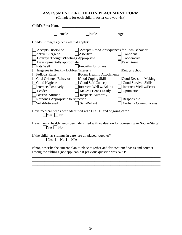# **ASSESSMENT OF CHILD IN PLACEMENT FORM**

(Complete for each child in foster care you visit)

| Child's First Name:                                                                                                                                              |                                                                                                                                                                                                                                                                                                                        |                                                                                                                                                                                                                                                                                                                                                                                                                                                                                    |                                                                                                                                                                                                              |
|------------------------------------------------------------------------------------------------------------------------------------------------------------------|------------------------------------------------------------------------------------------------------------------------------------------------------------------------------------------------------------------------------------------------------------------------------------------------------------------------|------------------------------------------------------------------------------------------------------------------------------------------------------------------------------------------------------------------------------------------------------------------------------------------------------------------------------------------------------------------------------------------------------------------------------------------------------------------------------------|--------------------------------------------------------------------------------------------------------------------------------------------------------------------------------------------------------------|
|                                                                                                                                                                  | Female                                                                                                                                                                                                                                                                                                                 | Male                                                                                                                                                                                                                                                                                                                                                                                                                                                                               | Age: $\overline{\phantom{a}}$                                                                                                                                                                                |
|                                                                                                                                                                  | Child's Strengths (check all that apply):                                                                                                                                                                                                                                                                              |                                                                                                                                                                                                                                                                                                                                                                                                                                                                                    |                                                                                                                                                                                                              |
| Active/Energetic<br>Eats Well<br><b>Follows Rules</b><br>Good Hygiene<br>Leader<br>Positive Attitude<br>Self-Motivated                                           | <b>Accepts Discipline</b><br><b>Conveys Thoughts/Feelings Appropriate</b><br>Developmentally appropriate<br>Engages in Healthy Hobbies/Interests<br><b>Goal Oriented Behavior</b><br><b>Interacts Positively</b><br>Responds Appropriate to Affection<br>$Yes \Box No$<br>$Yes \nightharpoonup No$<br>$Yes \tNo \tN/A$ | Accepts Resp/Consequences for Own Behavior<br>Assertive<br>Empathy for others<br>Forms Healthy Attachments<br>Good Coping Skills<br>Good Self-Concept<br>Interacts Well w/Adults<br>Makes Friends Easily<br><b>Respects Authority</b><br>Self-Reliant<br>Have medical needs been identified with EPSDT and ongoing care?<br>Have mental health needs been identified with evaluation for counseling or SoonerStart?<br>If the child has siblings in care, are all placed together? | Confident<br>Cooperative<br><b>Easy Going</b><br>Enjoys School<br>Good Decision-Making<br><b>Good Survival Skills</b><br>Interacts Well w/Peers<br>Optimistic<br>Responsible<br><b>Verbally Communicates</b> |
| If not, describe the current plan to place together and for continued visits and contact<br>among the siblings (not applicable if previous question was $N/A$ ): |                                                                                                                                                                                                                                                                                                                        |                                                                                                                                                                                                                                                                                                                                                                                                                                                                                    |                                                                                                                                                                                                              |
|                                                                                                                                                                  |                                                                                                                                                                                                                                                                                                                        |                                                                                                                                                                                                                                                                                                                                                                                                                                                                                    |                                                                                                                                                                                                              |
|                                                                                                                                                                  |                                                                                                                                                                                                                                                                                                                        |                                                                                                                                                                                                                                                                                                                                                                                                                                                                                    |                                                                                                                                                                                                              |

 $\_$  ,  $\_$  ,  $\_$  ,  $\_$  ,  $\_$  ,  $\_$  ,  $\_$  ,  $\_$  ,  $\_$  ,  $\_$  ,  $\_$  ,  $\_$  ,  $\_$  ,  $\_$  ,  $\_$  ,  $\_$  ,  $\_$  ,  $\_$  ,  $\_$  ,  $\_$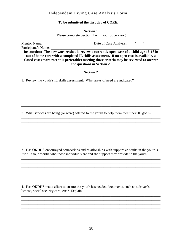# Independent Living Case Analysis Form

## To be submitted the first day of CORE.

**Section 1** (Please complete Section 1 with your Supervisor)

Participant's Name:

Instruction: The new worker should review a currently open case of a child age 16-18 in out of home care with a completed IL skills assessment. If no open case is available, a closed case (more recent is preferable) meeting those criteria may be reviewed to answer the questions in Section 2.

#### **Section 2**

1. Review the youth's IL skills assessment. What areas of need are indicated?

2. What services are being (or were) offered to the youth to help them meet their IL goals?

3. Has OKDHS encouraged connections and relationships with supportive adults in the youth's life? If so, describe who those individuals are and the support they provide to the youth.

4. Has OKDHS made effort to ensure the youth has needed documents, such as a driver's license, social security card, etc.? Explain.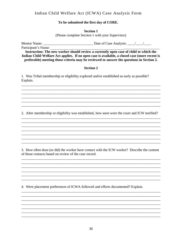# Indian Child Welfare Act (ICWA) Case Analysis Form

#### To be submitted the first day of CORE.

**Section 1** 

(Please complete Section 1 with your Supervisor)

Participant's Name:

Instruction: The new worker should review a currently open case of child to which the Indian Child Welfare Act applies. If no open case is available, a closed case (more recent is preferable) meeting those criteria may be reviewed to answer the questions in Section 2.

#### **Section 2**

1. Was Tribal membership or eligibility explored and/or established as early as possible? Explain.

2. After membership or eligibility was established, how soon were the court and ICW notified?

3. How often does (or did) the worker have contact with the ICW worker? Describe the content of those contacts based on review of the case record.

<u> 1989 - Johann Stoff, deutscher Stoff, der Stoff, deutscher Stoff, der Stoff, der Stoff, der Stoff, der Stoff, </u>

<u> 2000 - Jan James James Jan James James James James James James James James James James James James James Jam</u>

4. Were placement preferences of ICWA followed and efforts documented? Explain.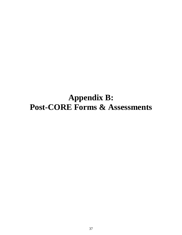# **Appendix B: Post-CORE Forms & Assessments**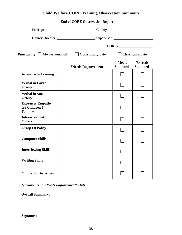# **Child Welfare CORE Training Observation Summary**

# **End of CORE Observation Report**

|                                                               |                                                                     |                                  | CORE#:_______________________      |
|---------------------------------------------------------------|---------------------------------------------------------------------|----------------------------------|------------------------------------|
|                                                               | <b>Punctuality:</b> $\Box$ Always Punctual $\Box$ Occasionally Late | Chronically Late                 |                                    |
|                                                               | *Needs Improvement                                                  | <b>Meets</b><br><b>Standards</b> | <b>Exceeds</b><br><b>Standards</b> |
| <b>Attentive to Training</b>                                  |                                                                     |                                  |                                    |
| <b>Verbal in Large</b><br>Group                               |                                                                     |                                  |                                    |
| <b>Verbal in Small</b><br>Group                               |                                                                     |                                  |                                    |
| <b>Expresses Empathy</b><br>for Children &<br><b>Families</b> |                                                                     |                                  |                                    |
| <b>Interaction with</b><br><b>Others</b>                      |                                                                     |                                  |                                    |
| <b>Grasp Of Policy</b>                                        |                                                                     |                                  |                                    |
| <b>Computer Skills</b>                                        |                                                                     |                                  |                                    |
| <b>Interviewing Skills</b>                                    |                                                                     |                                  |                                    |
| <b>Writing Skills</b>                                         |                                                                     |                                  |                                    |
| On the Job Activities                                         |                                                                     |                                  |                                    |

*\*Comments on "Needs Improvement" Only.*

**Overall Summary:** 

# **Signature:**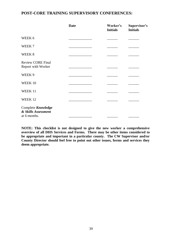# **POST-CORE TRAINING SUPERVISORY CONFERENCES:**

|                                                           | <b>Date</b> | Worker's<br><b>Initials</b> | Supervisor's<br><b>Initials</b> |
|-----------------------------------------------------------|-------------|-----------------------------|---------------------------------|
| WEEK 6                                                    |             |                             |                                 |
| WEEK 7                                                    |             |                             |                                 |
| WEEK 8                                                    |             |                             |                                 |
| <b>Review CORE Final</b><br>Report with Worker            |             |                             |                                 |
| WEEK 9                                                    |             |                             |                                 |
| WEEK 10                                                   |             |                             |                                 |
| WEEK 11                                                   |             |                             |                                 |
| WEEK 12                                                   |             |                             |                                 |
| Complete Knowledge<br>& Skills Assessment<br>at 6 months. |             |                             |                                 |

**NOTE: This checklist is not designed to give the new worker a comprehensive overview of all DHS Services and Forms. There may be other items considered to be appropriate and important in a particular county. The CW Supervisor and/or County Director should feel free to point out other issues, forms and services they deem appropriate.**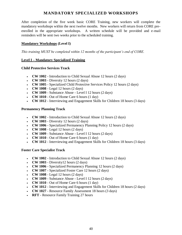# **MANDATORY SPECIALIZED WORKSHOPS**

After completion of the five week basic CORE Training, new workers will complete the mandatory workshops within the next twelve months. New workers will return from CORE preenrolled in the appropriate workshops. A written schedule will be provided and e-mail reminders will be sent two weeks prior to the scheduled training.

## **Mandatory Workshops (Level I)**

*This training MUST be completed within 12 months of the participant's end of CORE.*

#### **Level I – Mandatory Specialized Training**

#### **Child Protective Services Track**

- **CW 1002**  Introduction to Child Sexual Abuse 12 hours (2 days)
- **CW 1003** Diversity 12 hours  $(2 \text{ days})$
- **CW 1005**  Specialized Child Protective Services Policy 12 hours (2 days)
- **CW 1008**  Legal 12 hours (2 days)
- **CW 1009**  Substance Abuse Level I 12 hours (2 days)
- **CW 1010**  Out of Home Care 6 hours (1 day)
- **CW 1012**  Interviewing and Engagement Skills for Children 18 hours (3 days)

#### **Permanency Planning Track**

- **CW 1002**  Introduction to Child Sexual Abuse 12 hours (2 days)
- **CW 1003** Diversity 12 hours  $(2 \text{ days})$
- **CW 1006**  Specialized Permanency Planning Policy 12 hours (2 days)
- **CW 1008**  Legal 12 hours (2 days)
- **CW 1009**  Substance Abuse Level I 12 hours (2 days)
- **CW 1010**  Out of Home Care 6 hours (1 day)
- **CW 1012**  Interviewing and Engagement Skills for Children 18 hours (3 days)

#### **Foster Care Specialist Track**

- **CW 1002**  Introduction to Child Sexual Abuse 12 hours (2 days)
- **CW 1003** Diversity12 hours  $(2 \text{ days})$
- **CW 1006**  Specialized Permanency Planning 12 hours (2 days)
- **CW 1007**  Specialized Foster Care 12 hours (2 days)
- **CW 1008**  Legal 12 hours (2 days)
- **CW 1009**  Substance Abuse Level I 12 hours (2 days)
- **CW 1010**  Out of Home Care 6 hours (1 day)
- **CW 1012**  Interviewing and Engagement Skills for Children 18 hours (2 days)
- **CW 1027**  Resource Family Assessment 18 hours (3 days)
- **RFT** Resource Family Training 27 hours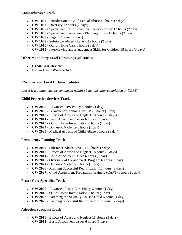#### **Comprehensive Track**

- **CW 1002**  Introduction to Child Sexual Abuse 12 hours (2 days)
- **CW 1003** Diversity 12 hours  $(2 \text{ days})$
- **CW 1005**  Specialized Child Protective Services Policy 12 hours (2 days)
- **CW 1006**  Specialized Permanency Planning Policy 12 hours (2 days)
- **CW 1008**  Legal 12 hours (2 days)
- **CW 1009**  Substance Abuse Level I 12 hours (2 days)
- **CW 1010**  Out of Home Care 6 hours (1 day)
- **CW 1012**  Interviewing and Engagement Skills for Children 18 hours (3 days)

#### **Other Mandatory Level I Trainings (all tracks)**

- **CFSR/Case Review**
- **Indian Child Welfare Act**

#### **CW Specialist Level II** (**Intermediate)**

*Level II training must be completed within 36 months after completion of CORE*.

#### **Child Protective Services Track**

- **CW 2005**  Advanced CPS Policy 6 hours (1 day)
- **CW 2006**  Permanency Planning for CPS 6 hours (1 day)
- **CW 2010**  Effects of Abuse and Neglect 18 hours (3 days)
- **CW 2011** Basic Attachment Issues 6 hours (1 day)
- **CW 2015**  Out of Home Investigation 6 hours (1 day)
- **CW 2024**  Domestic Violence 6 hours (1 day)
- **CW 2025**  Medical Aspects of Child Abuse 6 hours (1 day)

#### **Permanency Planning Track**

- **CW 2009**  Substance Abuse Level II 12 hours (2 days)
- **CW 2010**  Effects of Abuse and Neglect 18 hours (3 days)
- **CW 2011** Basic Attachment Issues 6 hours (1 day)
- **CW 2016**  Overview of Oklahoma IL Program 6 hours (1 day)
- **CW 2024**  Domestic Violence 6 hours (1 day)
- **CW 2026**  Planning Successful Reunification 12 hours (2 days)
- **CW 2037**  Child Assessment Preparation Training (CAPT) 6 hours (1 day)

#### **Foster Care Specialist Track**

- **CW 2007**  Advanced Foster Care Policy 6 hours (1 day)
- **CW 2015**  Out of Home Investigation 6 hours (1 day)
- **CW 2022**  Parenting the Sexually Abused Child 6 hours (1 day)
- **CW 2026**  Planning Successful Reunification 12 hours (2 days)

#### **Adoption Specialist Track**

- **CW 2010**  Effects of Abuse and Neglect 18 Hours (3 days)
- **CW 2011** Basic Attachment Issues 6 hours (1 day)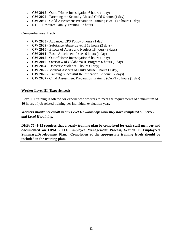- **CW 2015**  Out of Home Investigation 6 hours (1 day)
- **CW 2022**  Parenting the Sexually Abused Child 6 hours (1 day)
- **CW 2037**  Child Assessment Preparation Training (CAPT) 6 hours (1 day)
- **RFT** Resource Family Training 27 hours

#### **Comprehensive Track**

- **CW 2005**  Advanced CPS Policy 6 hours (1 day)
- **CW 2009**  Substance Abuse Level II 12 hours (2 days)
- **CW 2010**  Effects of Abuse and Neglect 18 hours (3 days)
- **CW 2011**  Basic Attachment Issues 6 hours (1 day)
- **CW 2015**  Out of Home Investigation 6 hours (1 day)
- **CW 2016**  Overview of Oklahoma IL Program 6 hours (1 day)
- **CW 2024**  Domestic Violence 6 hours (1 day)
- **CW 2025**  Medical Aspects of Child Abuse 6 hours (1 day)
- **CW 2026**  Planning Successful Reunification 12 hours (2 days)
- **CW 2037**  Child Assessment Preparation Training (CAPT) 6 hours (1 day)

# **Worker Level III (Experienced)**

Level III training is offered for experienced workers to meet the requirements of a minimum of **40** hours of job related training per individual evaluation year.

# *Workers should not enroll in any Level III workshops until they have completed all Level I and Level II training.*

**DHS: 75 -1-12 requires that a yearly training plan be completed for each staff member and documented on OPM - 111, Employee Management Process, Section F, Employee's Summary/Development Plan. Completion of the appropriate training levels should be included in the training plan.**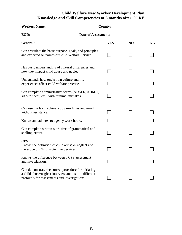# **Child Welfare New Worker Development Plan Knowledge and Skill Competencies at 6 months after CORE**

|                                                                                                                                                                 | Date of Assessment: |                |           |
|-----------------------------------------------------------------------------------------------------------------------------------------------------------------|---------------------|----------------|-----------|
| General:                                                                                                                                                        | <b>YES</b>          | N <sub>O</sub> | <b>NA</b> |
| Can articulate the basic purpose, goals, and principles<br>and expected outcomes of Child Welfare Service.                                                      |                     |                |           |
| Has basic understanding of cultural differences and<br>how they impact child abuse and neglect.                                                                 |                     |                |           |
| Understands how one's own culture and life<br>experiences affect child welfare practice.                                                                        |                     |                |           |
| Can complete administrative forms (ADM-6, ADM-1,<br>sign-in sheet, etc.) with minimal mistakes.                                                                 |                     |                |           |
| Can use the fax machine, copy machines and email<br>without assistance.                                                                                         |                     |                |           |
| Knows and adheres to agency work hours.                                                                                                                         |                     |                |           |
| Can complete written work free of grammatical and<br>spelling errors.                                                                                           |                     |                |           |
| <b>CPS</b><br>Knows the definition of child abuse & neglect and<br>the scope of Child Protective Services.                                                      |                     |                |           |
| Knows the difference between a CPS assessment<br>and investigation.                                                                                             |                     |                |           |
| Can demonstrate the correct procedure for initiating<br>a child abuse/neglect interview and list the different<br>protocols for assessments and investigations. |                     |                |           |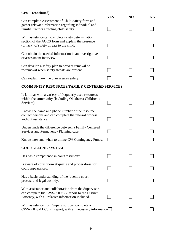# **CPS (continued)**

|                                                                                                                                                                   | <b>YES</b> | NO | <b>NA</b> |
|-------------------------------------------------------------------------------------------------------------------------------------------------------------------|------------|----|-----------|
| Can complete Assessment of Child Safety form and<br>gather relevant information regarding individual and<br>familial factors affecting child safety.              |            |    |           |
| With assistance can complete safety determination<br>section of the AOCS form and explain the presence<br>(or lack) of safety threats to the child.               |            |    |           |
| Can obtain the needed information in an investigative<br>or assessment interview.                                                                                 |            |    |           |
| Can develop a safety plan to prevent removal or<br>re-removal when safety threats are present.                                                                    |            |    |           |
| Can explain how the plan assures safety.                                                                                                                          |            |    |           |
| <b>COMMUNITY RESOURCES/FAMILY CENTERED SERVICES</b>                                                                                                               |            |    |           |
| Is familiar with a variety of frequently used resources<br>within the community (including Oklahoma Children's<br>Services).                                      |            |    |           |
| Knows the name and phone number of the resource<br>contact persons and can complete the referral process<br>without assistance.                                   |            |    |           |
| Understands the difference between a Family Centered<br>Services and Permanency Planning case.                                                                    |            |    |           |
| Knows how and when to utilize CW Contingency Funds.                                                                                                               |            |    |           |
| <b>COURT/LEGAL SYSTEM</b>                                                                                                                                         |            |    |           |
| Has basic competence in court testimony.                                                                                                                          |            |    |           |
| Is aware of court room etiquette and proper dress for<br>court appearances.                                                                                       |            |    |           |
| Has a basic understanding of the juvenile court<br>process and legal custody.                                                                                     |            |    |           |
| With assistance and collaboration from the Supervisor,<br>can complete the CWS-KIDS-3 Report to the District<br>Attorney, with all relative information included. |            |    |           |
| With assistance from Supervisor, can complete a<br>CWS-KIDS-11 Court Report, with all necessary information                                                       |            |    |           |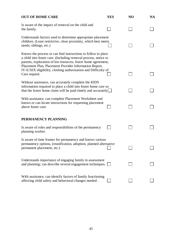| <b>OUT OF HOME CARE</b>                                                                                                                                                                                                                                     | <b>YES</b> | NO | <b>NA</b> |
|-------------------------------------------------------------------------------------------------------------------------------------------------------------------------------------------------------------------------------------------------------------|------------|----|-----------|
| Is aware of the impact of removal on the child and<br>the family.                                                                                                                                                                                           |            |    |           |
| Understands factors used to determine appropriate placement<br>children. (Least restrictive, close proximity, which best meets<br>needs, siblings, etc.)                                                                                                    |            |    |           |
| Knows the process or can find instructions to follow to place<br>a child into foster care. (Including removal process, notice to<br>parents, exploration of kin resources, foster home agreement,<br>Placement Plan, Placement Provider Information Report, |            |    |           |
| IV-E/XIX eligibility, clothing authorization and Difficulty of<br>Care request.                                                                                                                                                                             |            |    |           |
| Without assistance, can accurately complete the KIDS<br>information required to place a child into foster home care so<br>that the foster home claim will be paid timely and accurately                                                                     |            |    |           |
| With assistance, can complete Placement Worksheet and<br>knows or can locate instructions for requesting placement<br>above foster care.                                                                                                                    |            |    |           |
| PERMANENCY PLANNING                                                                                                                                                                                                                                         |            |    |           |
| Is aware of roles and responsibilities of the permanency<br>planning worker.                                                                                                                                                                                |            |    |           |
| Is aware of time frames for permanency and knows various<br>permanency options, (reunification, adoption, planned alternative<br>permanent placement, etc.)                                                                                                 |            |    |           |
| Understands importance of engaging family in assessment<br>and planning; can describe several engagement techniques.                                                                                                                                        |            |    |           |
| With assistance, can identify factors of family functioning<br>affecting child safety and behavioral changes needed.                                                                                                                                        |            |    |           |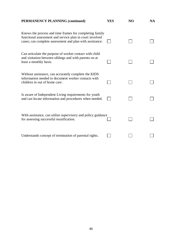| <b>PERMANENCY PLANNING (continued)</b>                                                                                                                                          | <b>YES</b> | N <sub>O</sub> | <b>NA</b> |
|---------------------------------------------------------------------------------------------------------------------------------------------------------------------------------|------------|----------------|-----------|
| Knows the process and time frames for completing family<br>functional assessment and service plan in court involved<br>cases; can complete assessment and plan with assistance. |            |                |           |
| Can articulate the purpose of worker contact with child<br>and visitation between siblings and with parents on at<br>least a monthly basis.                                     |            |                |           |
| Without assistance, can accurately complete the KIDS<br>information needed to document worker contacts with<br>children in out of home care.                                    |            |                |           |
| Is aware of Independent Living requirements for youth<br>and can locate information and procedures when needed.                                                                 |            |                |           |
| With assistance, can utilize supervisory and policy guidance<br>for assessing successful reunification.                                                                         |            |                |           |
| Understands concept of termination of parental rights.                                                                                                                          |            |                |           |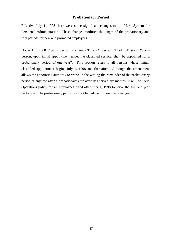# **Probationary Period**

Effective July 1, 1998 there were some significant changes to the Merit System for Personnel Administration. These changes modified the length of the probationary and trial periods for new and promoted employees.

House Bill 2860 {1998} Section 7 amends Title 74, Section 840-4.13D states "every person, upon initial appointment under the classified service, shall be appointed for a probationary period of one year". This section refers to all persons whose initial, classified appointment begins July 1, 1998 and thereafter. Although the amendment allows the appointing authority to waive in the writing the remainder of the probationary period at anytime after a probationary employee has served six months, it will be Field Operations policy for all employees hired after July 1, 1998 to serve the full one year probation. The probationary period will not be reduced to less than one year.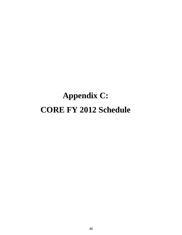# **Appendix C: CORE FY 2012 Schedule**